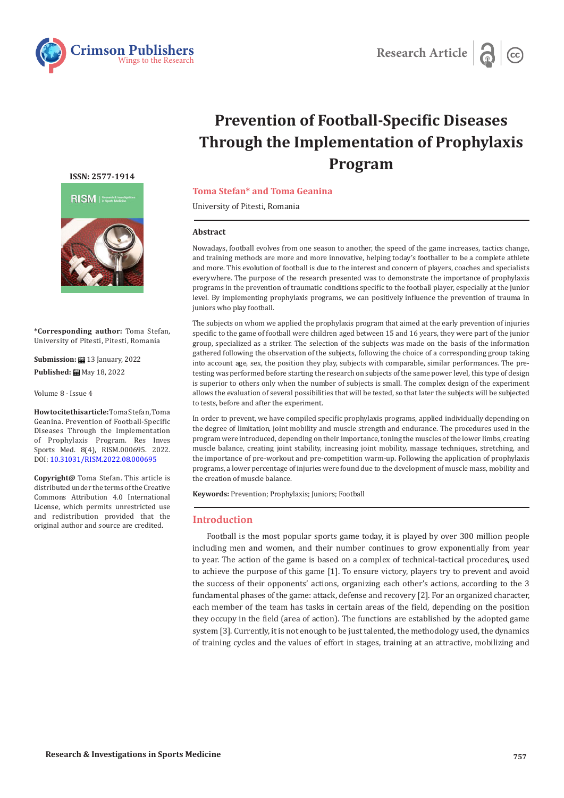



# **Prevention of Football-Specific Diseases Through the Implementation of Prophylaxis Program**

#### **ISSN: 2577-1914**



**\*Corresponding author:** Toma Stefan, University of Pitesti, Pitesti, Romania

**Submission: 13** January, 2022 Published: **■** May 18, 2022

Volume 8 - Issue 4

**How to cite this article:** Toma Stefan, Toma Geanina. Prevention of Football-Specific Diseases Through the Implementation of Prophylaxis Program. Res Inves Sports Med. 8(4), RISM.000695. 2022. DOI: [10.31031/RISM.2022.08.000695](http://dx.doi.org/10.31031/RISM.2022.08.000695)

**Copyright@** Toma Stefan. This article is distributed under the terms of the Creative Commons Attribution 4.0 International License, which permits unrestricted use and redistribution provided that the original author and source are credited.

# **Toma Stefan\* and Toma Geanina**

University of Pitesti, Romania

#### **Abstract**

Nowadays, football evolves from one season to another, the speed of the game increases, tactics change, and training methods are more and more innovative, helping today's footballer to be a complete athlete and more. This evolution of football is due to the interest and concern of players, coaches and specialists everywhere. The purpose of the research presented was to demonstrate the importance of prophylaxis programs in the prevention of traumatic conditions specific to the football player, especially at the junior level. By implementing prophylaxis programs, we can positively influence the prevention of trauma in juniors who play football.

The subjects on whom we applied the prophylaxis program that aimed at the early prevention of injuries specific to the game of football were children aged between 15 and 16 years, they were part of the junior group, specialized as a striker. The selection of the subjects was made on the basis of the information gathered following the observation of the subjects, following the choice of a corresponding group taking into account age, sex, the position they play, subjects with comparable, similar performances. The pretesting was performed before starting the research on subjects of the same power level, this type of design is superior to others only when the number of subjects is small. The complex design of the experiment allows the evaluation of several possibilities that will be tested, so that later the subjects will be subjected to tests, before and after the experiment.

In order to prevent, we have compiled specific prophylaxis programs, applied individually depending on the degree of limitation, joint mobility and muscle strength and endurance. The procedures used in the program were introduced, depending on their importance, toning the muscles of the lower limbs, creating muscle balance, creating joint stability, increasing joint mobility, massage techniques, stretching, and the importance of pre-workout and pre-competition warm-up. Following the application of prophylaxis programs, a lower percentage of injuries were found due to the development of muscle mass, mobility and the creation of muscle balance.

**Keywords:** Prevention; Prophylaxis; Juniors; Football

### **Introduction**

Football is the most popular sports game today, it is played by over 300 million people including men and women, and their number continues to grow exponentially from year to year. The action of the game is based on a complex of technical-tactical procedures, used to achieve the purpose of this game [1]. To ensure victory, players try to prevent and avoid the success of their opponents' actions, organizing each other's actions, according to the 3 fundamental phases of the game: attack, defense and recovery [2]. For an organized character, each member of the team has tasks in certain areas of the field, depending on the position they occupy in the field (area of action). The functions are established by the adopted game system [3]. Currently, it is not enough to be just talented, the methodology used, the dynamics of training cycles and the values of effort in stages, training at an attractive, mobilizing and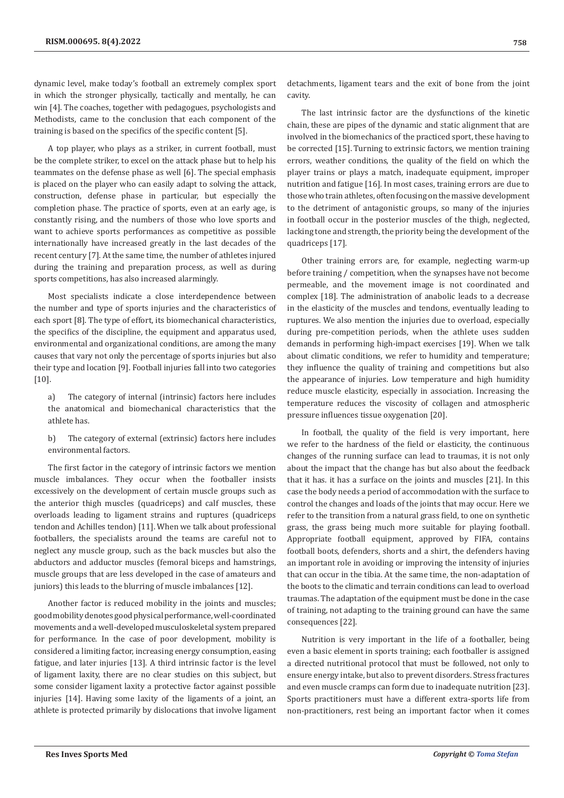dynamic level, make today's football an extremely complex sport in which the stronger physically, tactically and mentally, he can win [4]. The coaches, together with pedagogues, psychologists and Methodists, came to the conclusion that each component of the training is based on the specifics of the specific content [5].

A top player, who plays as a striker, in current football, must be the complete striker, to excel on the attack phase but to help his teammates on the defense phase as well [6]. The special emphasis is placed on the player who can easily adapt to solving the attack, construction, defense phase in particular, but especially the completion phase. The practice of sports, even at an early age, is constantly rising, and the numbers of those who love sports and want to achieve sports performances as competitive as possible internationally have increased greatly in the last decades of the recent century [7]. At the same time, the number of athletes injured during the training and preparation process, as well as during sports competitions, has also increased alarmingly.

Most specialists indicate a close interdependence between the number and type of sports injuries and the characteristics of each sport [8]. The type of effort, its biomechanical characteristics, the specifics of the discipline, the equipment and apparatus used, environmental and organizational conditions, are among the many causes that vary not only the percentage of sports injuries but also their type and location [9]. Football injuries fall into two categories [10].

a) The category of internal (intrinsic) factors here includes the anatomical and biomechanical characteristics that the athlete has.

b) The category of external (extrinsic) factors here includes environmental factors.

The first factor in the category of intrinsic factors we mention muscle imbalances. They occur when the footballer insists excessively on the development of certain muscle groups such as the anterior thigh muscles (quadriceps) and calf muscles, these overloads leading to ligament strains and ruptures (quadriceps tendon and Achilles tendon) [11]. When we talk about professional footballers, the specialists around the teams are careful not to neglect any muscle group, such as the back muscles but also the abductors and adductor muscles (femoral biceps and hamstrings, muscle groups that are less developed in the case of amateurs and juniors) this leads to the blurring of muscle imbalances [12].

Another factor is reduced mobility in the joints and muscles; good mobility denotes good physical performance, well-coordinated movements and a well-developed musculoskeletal system prepared for performance. In the case of poor development, mobility is considered a limiting factor, increasing energy consumption, easing fatigue, and later injuries [13]. A third intrinsic factor is the level of ligament laxity, there are no clear studies on this subject, but some consider ligament laxity a protective factor against possible injuries [14]. Having some laxity of the ligaments of a joint, an athlete is protected primarily by dislocations that involve ligament

detachments, ligament tears and the exit of bone from the joint cavity.

The last intrinsic factor are the dysfunctions of the kinetic chain, these are pipes of the dynamic and static alignment that are involved in the biomechanics of the practiced sport, these having to be corrected [15]. Turning to extrinsic factors, we mention training errors, weather conditions, the quality of the field on which the player trains or plays a match, inadequate equipment, improper nutrition and fatigue [16]. In most cases, training errors are due to those who train athletes, often focusing on the massive development to the detriment of antagonistic groups, so many of the injuries in football occur in the posterior muscles of the thigh, neglected, lacking tone and strength, the priority being the development of the quadriceps [17].

Other training errors are, for example, neglecting warm-up before training / competition, when the synapses have not become permeable, and the movement image is not coordinated and complex [18]. The administration of anabolic leads to a decrease in the elasticity of the muscles and tendons, eventually leading to ruptures. We also mention the injuries due to overload, especially during pre-competition periods, when the athlete uses sudden demands in performing high-impact exercises [19]. When we talk about climatic conditions, we refer to humidity and temperature; they influence the quality of training and competitions but also the appearance of injuries. Low temperature and high humidity reduce muscle elasticity, especially in association. Increasing the temperature reduces the viscosity of collagen and atmospheric pressure influences tissue oxygenation [20].

In football, the quality of the field is very important, here we refer to the hardness of the field or elasticity, the continuous changes of the running surface can lead to traumas, it is not only about the impact that the change has but also about the feedback that it has. it has a surface on the joints and muscles [21]. In this case the body needs a period of accommodation with the surface to control the changes and loads of the joints that may occur. Here we refer to the transition from a natural grass field, to one on synthetic grass, the grass being much more suitable for playing football. Appropriate football equipment, approved by FIFA, contains football boots, defenders, shorts and a shirt, the defenders having an important role in avoiding or improving the intensity of injuries that can occur in the tibia. At the same time, the non-adaptation of the boots to the climatic and terrain conditions can lead to overload traumas. The adaptation of the equipment must be done in the case of training, not adapting to the training ground can have the same consequences [22].

Nutrition is very important in the life of a footballer, being even a basic element in sports training; each footballer is assigned a directed nutritional protocol that must be followed, not only to ensure energy intake, but also to prevent disorders. Stress fractures and even muscle cramps can form due to inadequate nutrition [23]. Sports practitioners must have a different extra-sports life from non-practitioners, rest being an important factor when it comes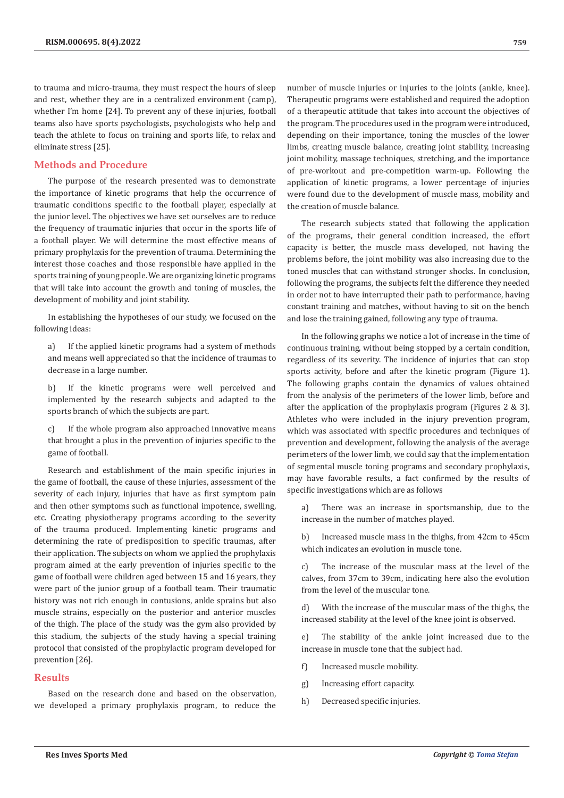to trauma and micro-trauma, they must respect the hours of sleep and rest, whether they are in a centralized environment (camp), whether I'm home [24]. To prevent any of these injuries, football teams also have sports psychologists, psychologists who help and teach the athlete to focus on training and sports life, to relax and eliminate stress [25].

# **Methods and Procedure**

The purpose of the research presented was to demonstrate the importance of kinetic programs that help the occurrence of traumatic conditions specific to the football player, especially at the junior level. The objectives we have set ourselves are to reduce the frequency of traumatic injuries that occur in the sports life of a football player. We will determine the most effective means of primary prophylaxis for the prevention of trauma. Determining the interest those coaches and those responsible have applied in the sports training of young people. We are organizing kinetic programs that will take into account the growth and toning of muscles, the development of mobility and joint stability.

In establishing the hypotheses of our study, we focused on the following ideas:

a) If the applied kinetic programs had a system of methods and means well appreciated so that the incidence of traumas to decrease in a large number.

b) If the kinetic programs were well perceived and implemented by the research subjects and adapted to the sports branch of which the subjects are part.

c) If the whole program also approached innovative means that brought a plus in the prevention of injuries specific to the game of football.

Research and establishment of the main specific injuries in the game of football, the cause of these injuries, assessment of the severity of each injury, injuries that have as first symptom pain and then other symptoms such as functional impotence, swelling, etc. Creating physiotherapy programs according to the severity of the trauma produced. Implementing kinetic programs and determining the rate of predisposition to specific traumas, after their application. The subjects on whom we applied the prophylaxis program aimed at the early prevention of injuries specific to the game of football were children aged between 15 and 16 years, they were part of the junior group of a football team. Their traumatic history was not rich enough in contusions, ankle sprains but also muscle strains, especially on the posterior and anterior muscles of the thigh. The place of the study was the gym also provided by this stadium, the subjects of the study having a special training protocol that consisted of the prophylactic program developed for prevention [26].

# **Results**

Based on the research done and based on the observation, we developed a primary prophylaxis program, to reduce the number of muscle injuries or injuries to the joints (ankle, knee). Therapeutic programs were established and required the adoption of a therapeutic attitude that takes into account the objectives of the program. The procedures used in the program were introduced, depending on their importance, toning the muscles of the lower limbs, creating muscle balance, creating joint stability, increasing joint mobility, massage techniques, stretching, and the importance of pre-workout and pre-competition warm-up. Following the application of kinetic programs, a lower percentage of injuries were found due to the development of muscle mass, mobility and the creation of muscle balance.

The research subjects stated that following the application of the programs, their general condition increased, the effort capacity is better, the muscle mass developed, not having the problems before, the joint mobility was also increasing due to the toned muscles that can withstand stronger shocks. In conclusion, following the programs, the subjects felt the difference they needed in order not to have interrupted their path to performance, having constant training and matches, without having to sit on the bench and lose the training gained, following any type of trauma.

In the following graphs we notice a lot of increase in the time of continuous training, without being stopped by a certain condition, regardless of its severity. The incidence of injuries that can stop sports activity, before and after the kinetic program (Figure 1). The following graphs contain the dynamics of values obtained from the analysis of the perimeters of the lower limb, before and after the application of the prophylaxis program (Figures 2 & 3). Athletes who were included in the injury prevention program, which was associated with specific procedures and techniques of prevention and development, following the analysis of the average perimeters of the lower limb, we could say that the implementation of segmental muscle toning programs and secondary prophylaxis, may have favorable results, a fact confirmed by the results of specific investigations which are as follows

a) There was an increase in sportsmanship, due to the increase in the number of matches played.

b) Increased muscle mass in the thighs, from 42cm to 45cm which indicates an evolution in muscle tone.

c) The increase of the muscular mass at the level of the calves, from 37cm to 39cm, indicating here also the evolution from the level of the muscular tone.

d) With the increase of the muscular mass of the thighs, the increased stability at the level of the knee joint is observed.

e) The stability of the ankle joint increased due to the increase in muscle tone that the subject had.

- f) Increased muscle mobility.
- g) Increasing effort capacity.
- h) Decreased specific injuries.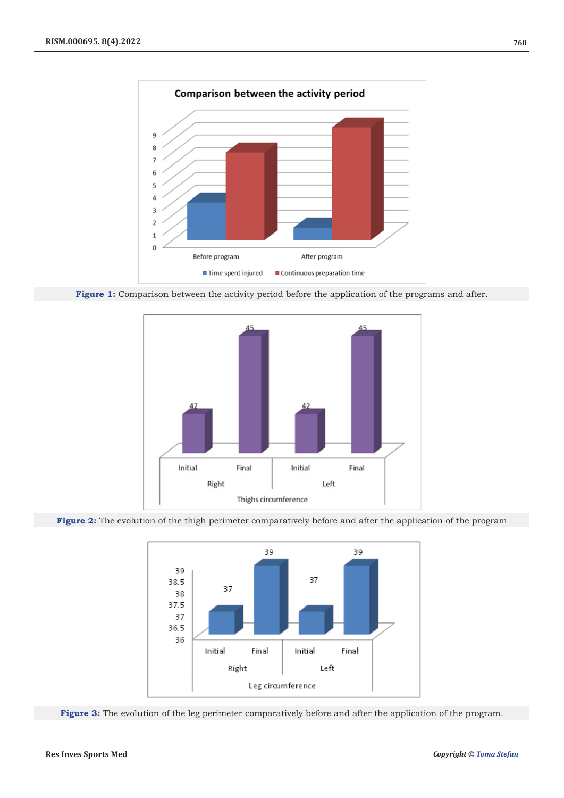

Figure 1: Comparison between the activity period before the application of the programs and after.



**Figure 2:** The evolution of the thigh perimeter comparatively before and after the application of the program



Figure 3: The evolution of the leg perimeter comparatively before and after the application of the program.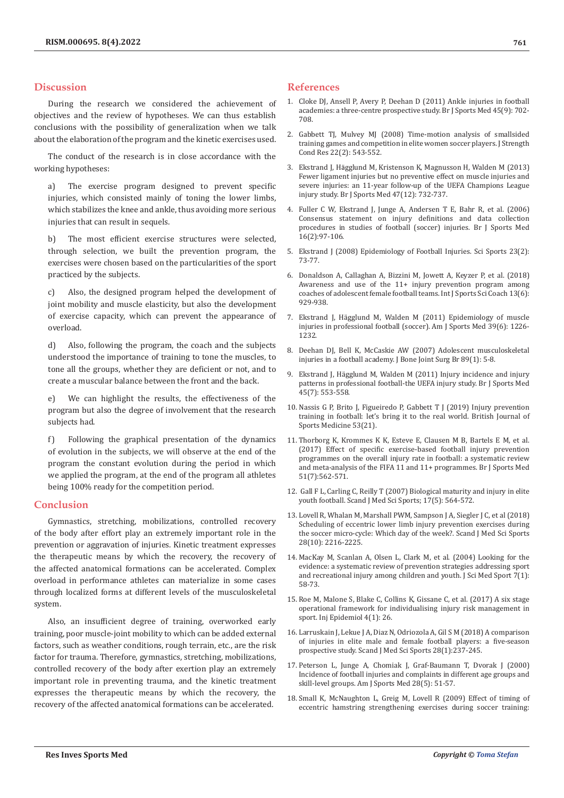## **Discussion**

During the research we considered the achievement of objectives and the review of hypotheses. We can thus establish conclusions with the possibility of generalization when we talk about the elaboration of the program and the kinetic exercises used.

The conduct of the research is in close accordance with the working hypotheses:

a) The exercise program designed to prevent specific injuries, which consisted mainly of toning the lower limbs, which stabilizes the knee and ankle, thus avoiding more serious injuries that can result in sequels.

b) The most efficient exercise structures were selected, through selection, we built the prevention program, the exercises were chosen based on the particularities of the sport practiced by the subjects.

c) Also, the designed program helped the development of joint mobility and muscle elasticity, but also the development of exercise capacity, which can prevent the appearance of overload.

d) Also, following the program, the coach and the subjects understood the importance of training to tone the muscles, to tone all the groups, whether they are deficient or not, and to create a muscular balance between the front and the back.

e) We can highlight the results, the effectiveness of the program but also the degree of involvement that the research subjects had.

f) Following the graphical presentation of the dynamics of evolution in the subjects, we will observe at the end of the program the constant evolution during the period in which we applied the program, at the end of the program all athletes being 100% ready for the competition period.

## **Conclusion**

Gymnastics, stretching, mobilizations, controlled recovery of the body after effort play an extremely important role in the prevention or aggravation of injuries. Kinetic treatment expresses the therapeutic means by which the recovery, the recovery of the affected anatomical formations can be accelerated. Complex overload in performance athletes can materialize in some cases through localized forms at different levels of the musculoskeletal system.

Also, an insufficient degree of training, overworked early training, poor muscle-joint mobility to which can be added external factors, such as weather conditions, rough terrain, etc., are the risk factor for trauma. Therefore, gymnastics, stretching, mobilizations, controlled recovery of the body after exertion play an extremely important role in preventing trauma, and the kinetic treatment expresses the therapeutic means by which the recovery, the recovery of the affected anatomical formations can be accelerated.

## **References**

- 1. [Cloke DJ, Ansell P, Avery P, Deehan D \(2011\) Ankle injuries in football](https://pubmed.ncbi.nlm.nih.gov/20511620/) [academies: a three-centre prospective study. Br J Sports Med 45\(9\): 702-](https://pubmed.ncbi.nlm.nih.gov/20511620/) [708.](https://pubmed.ncbi.nlm.nih.gov/20511620/)
- 2. [Gabbett TJ, Mulvey MJ \(2008\) Time-motion analysis of smallsided](https://pubmed.ncbi.nlm.nih.gov/18550972/) [training games and competition in elite women soccer players. J Strength](https://pubmed.ncbi.nlm.nih.gov/18550972/) [Cond Res 22\(2\): 543-552.](https://pubmed.ncbi.nlm.nih.gov/18550972/)
- 3. Ekstrand J, Hä[gglund M, Kristenson K, Magnusson H, Walden M \(2013\)](https://pubmed.ncbi.nlm.nih.gov/23813543/) [Fewer ligament injuries but no preventive effect on muscle injuries and](https://pubmed.ncbi.nlm.nih.gov/23813543/) [severe injuries: an 11-year follow-up of the UEFA Champions League](https://pubmed.ncbi.nlm.nih.gov/23813543/) [injury study. Br J Sports Med 47\(12\): 732-737.](https://pubmed.ncbi.nlm.nih.gov/23813543/)
- 4. [Fuller C W, Ekstrand J, Junge A, Andersen T E, Bahr R, et al. \(2006\)](https://pubmed.ncbi.nlm.nih.gov/16603877/) [Consensus statement on injury definitions and data collection](https://pubmed.ncbi.nlm.nih.gov/16603877/) [procedures in studies of football \(soccer\) injuries. Br J Sports Med](https://pubmed.ncbi.nlm.nih.gov/16603877/) [16\(2\):97-106.](https://pubmed.ncbi.nlm.nih.gov/16603877/)
- 5. Ekstrand J (2008) Epidemiology of Football Injuries. Sci Sports 23(2): 73-77.
- 6. [Donaldson A, Callaghan A, Bizzini M, Jowett A, Keyzer P, et al. \(2018\)](https://journals.sagepub.com/doi/abs/10.1177/1747954118787654?journalCode=spoa) [Awareness and use of the 11+ injury prevention program among](https://journals.sagepub.com/doi/abs/10.1177/1747954118787654?journalCode=spoa) [coaches of adolescent female football teams. Int J Sports Sci Coach 13\(6\):](https://journals.sagepub.com/doi/abs/10.1177/1747954118787654?journalCode=spoa) [929-938.](https://journals.sagepub.com/doi/abs/10.1177/1747954118787654?journalCode=spoa)
- 7. [Ekstrand J, Hägglund M, Walden M \(2011\) Epidemiology of muscle](https://pubmed.ncbi.nlm.nih.gov/21335353/) [injuries in professional football \(soccer\). Am J Sports Med 39\(6\): 1226-](https://pubmed.ncbi.nlm.nih.gov/21335353/) [1232.](https://pubmed.ncbi.nlm.nih.gov/21335353/)
- 8. [Deehan DJ, Bell K, McCaskie AW \(2007\) Adolescent musculoskeletal](https://pubmed.ncbi.nlm.nih.gov/17259407/) [injuries in a football academy. J Bone Joint Surg Br 89\(1\): 5-8.](https://pubmed.ncbi.nlm.nih.gov/17259407/)
- 9. [Ekstrand J, Hägglund M, Walden M \(2011\) Injury incidence and injury](https://pubmed.ncbi.nlm.nih.gov/19553225/) [patterns in professional football-the UEFA injury study. Br J Sports Med](https://pubmed.ncbi.nlm.nih.gov/19553225/) [45\(7\): 553-558.](https://pubmed.ncbi.nlm.nih.gov/19553225/)
- 10. [Nassis G P, Brito J, Figueiredo P, Gabbett T J \(2019\) Injury prevention](https://bjsm.bmj.com/content/53/21/1328) [training in football: let's bring it to the real world. British Journal of](https://bjsm.bmj.com/content/53/21/1328) [Sports Medicine 53\(21\).](https://bjsm.bmj.com/content/53/21/1328)
- 11. [Thorborg K, Krommes K K, Esteve E, Clausen M B, Bartels E M, et al.](https://pubmed.ncbi.nlm.nih.gov/28087568/) [\(2017\) Effect of specific exercise-based football injury prevention](https://pubmed.ncbi.nlm.nih.gov/28087568/) [programmes on the overall injury rate in football: a systematic review](https://pubmed.ncbi.nlm.nih.gov/28087568/) [and meta-analysis of the FIFA 11 and 11+ programmes. Br J Sports Med](https://pubmed.ncbi.nlm.nih.gov/28087568/) [51\(7\):562-571.](https://pubmed.ncbi.nlm.nih.gov/28087568/)
- 12. [Gall F L, Carling C, Reilly T \(2007\) Biological maturity and injury in elite](https://pubmed.ncbi.nlm.nih.gov/17076832/) [youth football. Scand J Med Sci Sports; 17\(5\): 564-572.](https://pubmed.ncbi.nlm.nih.gov/17076832/)
- 13. [Lovell R, Whalan M, Marshall PWM, Sampson J A, Siegler J C, et al \(2018\)](https://pubmed.ncbi.nlm.nih.gov/29797592/) [Scheduling of eccentric lower limb injury prevention exercises during](https://pubmed.ncbi.nlm.nih.gov/29797592/) [the soccer micro-cycle: Which day of the week?. Scand J Med Sci Sports](https://pubmed.ncbi.nlm.nih.gov/29797592/) [28\(10\): 2216-2225.](https://pubmed.ncbi.nlm.nih.gov/29797592/)
- 14. [MacKay M, Scanlan A, Olsen L, Clark M, et al. \(2004\) Looking for the](https://pubmed.ncbi.nlm.nih.gov/15139166/) [evidence: a systematic review of prevention strategies addressing sport](https://pubmed.ncbi.nlm.nih.gov/15139166/) [and recreational injury among children and youth. J Sci Med Sport 7\(1\):](https://pubmed.ncbi.nlm.nih.gov/15139166/) [58-73.](https://pubmed.ncbi.nlm.nih.gov/15139166/)
- 15. [Roe M, Malone S, Blake C, Collins K, Gissane C, et al. \(2017\) A six stage](https://pubmed.ncbi.nlm.nih.gov/28929466/) [operational framework for individualising injury risk management in](https://pubmed.ncbi.nlm.nih.gov/28929466/) [sport. Inj Epidemiol 4\(1\): 26.](https://pubmed.ncbi.nlm.nih.gov/28929466/)
- 16. [Larruskain J, Lekue J A, Diaz N, Odriozola A, Gil S M \(2018\) A comparison](https://pubmed.ncbi.nlm.nih.gov/28207979/) [of injuries in elite male and female football players: a five-season](https://pubmed.ncbi.nlm.nih.gov/28207979/) [prospective study. Scand J Med Sci Sports 28\(1\):237-245.](https://pubmed.ncbi.nlm.nih.gov/28207979/)
- 17. [Peterson L, Junge A, Chomiak J, Graf-Baumann T, Dvorak J \(2000\)](https://pubmed.ncbi.nlm.nih.gov/11032108/) [Incidence of football injuries and complaints in different age groups and](https://pubmed.ncbi.nlm.nih.gov/11032108/) [skill-level groups. Am J Sports Med 28\(5\): 51-57.](https://pubmed.ncbi.nlm.nih.gov/11032108/)
- 18. [Small K, McNaughton L, Greig M, Lovell R \(2009\) Effect of timing of](https://pubmed.ncbi.nlm.nih.gov/19528859/) [eccentric hamstring strengthening exercises during soccer training:](https://pubmed.ncbi.nlm.nih.gov/19528859/)